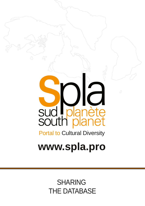SHARING THE DATABASE

# **www.spla.pro**

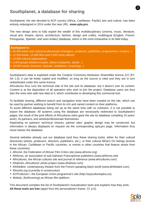## **Southplanet, a database for sharing**

Southplanet, the site devoted to ACP country (Africa, Caribbean, Pacific) arts and culture, has been entirely redesigned in 2014 under the new URL, **www.spla.pro**.

The new design aims to fully exploit the wealth of this multidisciplinary (cinema, music, literature, visual arts, theatre, dance, architecture, fashion, design and crafts), multilingual (English, French, Portuguese, Spanish, and soon Arabic) database, which is the most exhaustive in its field today.

- *30.000 artists and cultural professionals (managers, producers, publishers, programmers, curators...)*
- *12.000 books, 15.000 films and 2.500 music albums*
- *10.000 cultural organizations*
- *2.000 groups (theatre troupes, dance companies, bands…)*
- *30.000 events (concerts, festivals, exhibitions, screenings...)*

Southplanet's data is exploited under the Creative Commons Attribution ShareAlike licence (CC BY-SA 1.0): it can be freely copied and modified, so long as the source is cited and they are in turn redistributed under this same licence.

Africultures thus runs the technical side of the site and its database, but it doesn't own its content. Content is at the disposition of all operators who wish to join the project. Database users are thus also the ones who add new data to it, which contributes to developing this communal tool.

To facilitate sharing, different search and navigation tools have been created on the site, which can be used by partner wishing to benefit from its rich and varied content on their platforms.

To avoid different databases being set up at the same time with no cohesion, it is not possible to export the database. All systems using the database are necessarily redirected to Southplanet's pages, the result of the joint efforts of Africultures (who gave the site its database compiling 15 years' work), its partners, and artists/professionals themselves.

Depending on partners' technical choices, partner sites' graphic design may be conserved, but information is always displayed on request via the corresponding spla.pro page. Information thus never leaves the database.

Several websites already use our database (and thus these sharing tools), either for their cultural directories (artists, producers, directors, publishers, etc.), or their cultural What's On listings (events in the African, Caribbean or Pacific countries, or events in other countries that feature artists from these countries):

- Africiné, the Federation of African Film Critics site (www.africine.org)
- Afrilivres, an association of sub-Saharan Francophone publishers (www.afrilivres.net)
- Africultures, the African cultures site and journal of reference (www.africultures.com)
- Afriphoto, Africultures' photo project (www.afriphoto.com)
- Afrithéâtre, contemporary theatre from the French-speaking black world (www.afritheatre.com)
- Africinfo.org (currently in construction)
- ACPcultures+, the European Union programme's site (http://acpculturesplus.eu)
- Mokolo, (forthcoming) an African film platform.

This document compiles the list of Southplanet's mutualization tools and explains how they work. All **these tools are free** (apart from the personalized I-frame. Cf. p.5).



2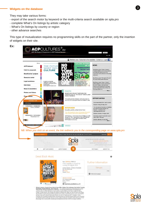#### **Widgets on the database**

3

They may take various forms:

- export of the search motor by keyword or the multi-criteria search available on spla.pro
- complete What's On listings by artistic category
- What's On listings by country or region
- other advance searches

This type of mutualization requires no programming skills on the part of the partner, only the insertion of widgets on their site.

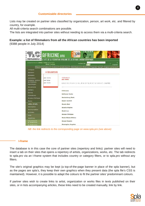Lists may be created on partner sites classified by organization, person, art work, etc. and filtered by country, for example.

All multi-criteria search combinations are possible.

The lists are integrated into partner sites without needing to access them via a multi-criteria search.

## **Example: a list of filmmakers from all the African countries has been imported**

(9388 people in July 2014)

| IAABA<br>Ð<br>AFRICINE.ORG<br>B<br>FEDERATION AFRICAINE DE LA<br>B<br>LE SITE DE LA FEDERATION AFRICAINE DE LA CRITIQUE CINEMATOGRAPHIQUE<br>表<br>actualiament 14903 films recensés,<br>ъ<br>recherche<br>2541 textes<br>english. |                                  |                                                                                                                     |
|-----------------------------------------------------------------------------------------------------------------------------------------------------------------------------------------------------------------------------------|----------------------------------|---------------------------------------------------------------------------------------------------------------------|
| films.                                                                                                                                                                                                                            | réalisateurs<br>acteurs          | distributeurs<br>festivals<br>producteurs.<br>espace personnel<br>agenda<br>navs                                    |
| critiques<br>dossiers                                                                                                                                                                                                             | >> REALISATEURS                  |                                                                                                                     |
| analyses<br>entretiens<br>comptes rendus<br>de festivals<br>reportages<br>documents<br>ateliers<br>Zooms <sup>2</sup><br>rédacteurs                                                                                               | par noms<br>par pays<br>par mots | realisateurs<br>par noms<br>A B C D E F G H I J K L M N O P Q R S T U V W X Y Z AUTRE<br>A Simone<br>Aaltonen Jouko |
| écrans d'afrique<br>Asaru                                                                                                                                                                                                         |                                  | Aardenburg Mark<br>Aasen Gunhill                                                                                    |
| lettre d'info<br>inscription                                                                                                                                                                                                      |                                  | Abada Abel<br>Abadia Régine                                                                                         |
| desinscription<br>archives                                                                                                                                                                                                        |                                  | Abaki Luc<br>Abalan Philippe                                                                                        |
| liens<br>dépêches                                                                                                                                                                                                                 |                                  | <b>Abalo Blaise Kilizou</b>                                                                                         |
| nouvelles de<br>la fédération<br>la féderation                                                                                                                                                                                    |                                  | Abassi Nassim<br>Abazoglou Angelos                                                                                  |

*NB: the link redirects to the corresponding page on www.spla.pro (see above)*

#### **Iframe**

The database is in this case the core of partner sites (repertory and links): partner sites will need to insert a tab on their sites that opens a repertory of artists, organizations, works, etc. The tab redirects to spla.pro via an I-frame system that includes country or category filters, or to spla.pro without any filters.

The site's original graphics may be kept (a top-of-the-page banner in place of the spla banner), but as the pages are spla's, they keep their own graphics when they present data (the spla file's CSS is maintained). However, it is possible to adapt the colours to fit the partner sites' predominant colours.

If partner sites wish to create links to artist, organization or works files in texts published on their sites, or in lists accompanying articles, these links need to be created manually, link by link.

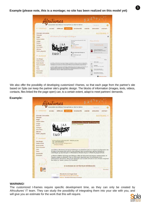### **Example (please note, this is a montage; no site has been realized on this model yet)**



We also offer the possibility of developing customized I-frames, so that each page from the partner's site based on Spla can keep the partner site's graphic design. The blocks of information (images, texts, videos, contacts, files linked the the page open) can, to a certain extent, adapt to meet partners' demands.

#### **Example:**



#### **WARNING!**

The customized I-frames require specific development time, as they can only be created by Africultures' IT team. They can study the possibility of integrating them into your site with you, and will give you an estimate for the work that this will require.



5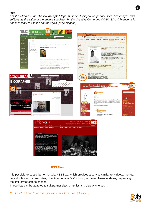*NB:*

*For the Iframes, the "based on spla" logo must be displayed on partner sites' homepages (this suffices as the citing of the source stipulated by the Creative Commons CCBYSA1.0 licence. It is not necessary to cite the source again, page by page).*



#### **RSS Flow**

It is possible to subscribe to the spla RSS flow, which provides a service similar to widgets: the realtime display, on partner sites, of entries to What's On listing or Latest News updates, depending on the xml format criteria chosen.

These lists can be adapted to suit partner sites' graphics and display choices.

*NB: the link redirects to the corresponding www.spla.pro page (cf. page 1)*